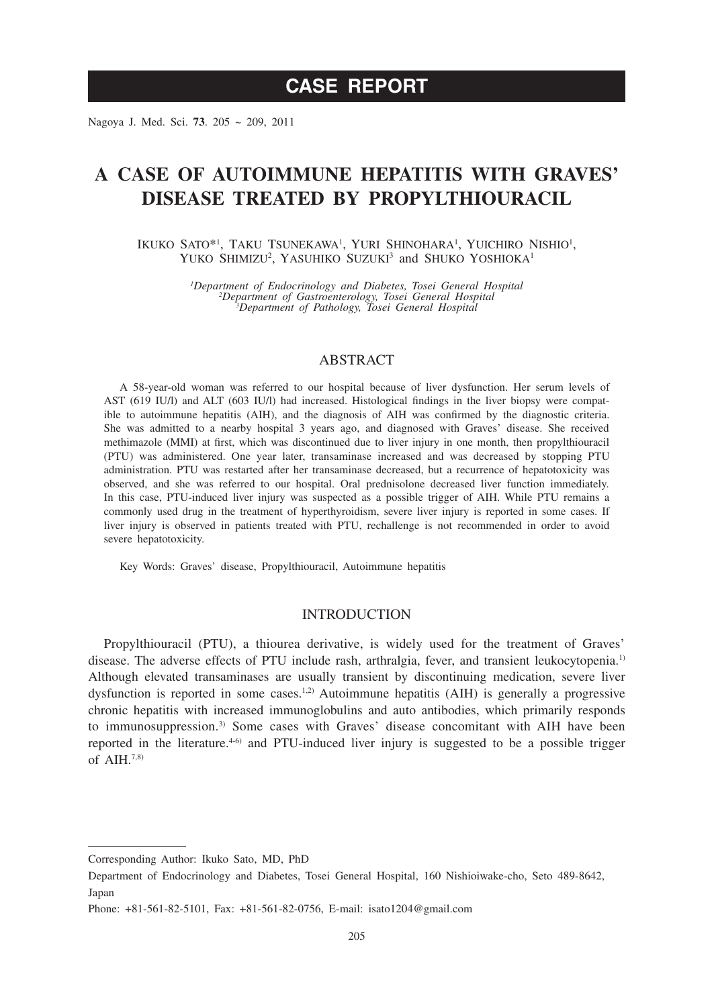Nagoya J. Med. Sci. **73**. 205 ~ 209, 2011

# **A CASE OF AUTOIMMUNE HEPATITIS WITH GRAVES' DISEASE TREATED BY PROPYLTHIOURACIL**

IKUKO SATO\*<sup>1</sup>, TAKU TSUNEKAWA<sup>1</sup>, YURI SHINOHARA<sup>1</sup>, YUICHIRO NISHIO<sup>1</sup>, YUKO SHIMIZU<sup>2</sup>, YASUHIKO SUZUKI<sup>3</sup> and SHUKO YOSHIOKA<sup>1</sup>

> *1 Department of Endocrinology and Diabetes, Tosei General Hospital <sup>2</sup> Department of Gastroenterology, Tosei General Hospital <sup>3</sup> Department of Pathology, Tosei General Hospital*

## ABSTRACT

A 58-year-old woman was referred to our hospital because of liver dysfunction. Her serum levels of AST (619 IU/l) and ALT (603 IU/l) had increased. Histological findings in the liver biopsy were compatible to autoimmune hepatitis (AIH), and the diagnosis of AIH was confirmed by the diagnostic criteria. She was admitted to a nearby hospital 3 years ago, and diagnosed with Graves' disease. She received methimazole (MMI) at first, which was discontinued due to liver injury in one month, then propylthiouracil (PTU) was administered. One year later, transaminase increased and was decreased by stopping PTU administration. PTU was restarted after her transaminase decreased, but a recurrence of hepatotoxicity was observed, and she was referred to our hospital. Oral prednisolone decreased liver function immediately. In this case, PTU-induced liver injury was suspected as a possible trigger of AIH. While PTU remains a commonly used drug in the treatment of hyperthyroidism, severe liver injury is reported in some cases. If liver injury is observed in patients treated with PTU, rechallenge is not recommended in order to avoid severe hepatotoxicity.

Key Words: Graves' disease, Propylthiouracil, Autoimmune hepatitis

#### **INTRODUCTION**

Propylthiouracil (PTU), a thiourea derivative, is widely used for the treatment of Graves' disease. The adverse effects of PTU include rash, arthralgia, fever, and transient leukocytopenia.<sup>1)</sup> Although elevated transaminases are usually transient by discontinuing medication, severe liver dysfunction is reported in some cases.<sup>1,2)</sup> Autoimmune hepatitis (AIH) is generally a progressive chronic hepatitis with increased immunoglobulins and auto antibodies, which primarily responds to immunosuppression.<sup>3)</sup> Some cases with Graves' disease concomitant with AIH have been reported in the literature.<sup>4-6)</sup> and PTU-induced liver injury is suggested to be a possible trigger of AIH $^{7,8)}$ 

Corresponding Author: Ikuko Sato, MD, PhD

Department of Endocrinology and Diabetes, Tosei General Hospital, 160 Nishioiwake-cho, Seto 489-8642, Japan

Phone: +81-561-82-5101, Fax: +81-561-82-0756, E-mail: isato1204@gmail.com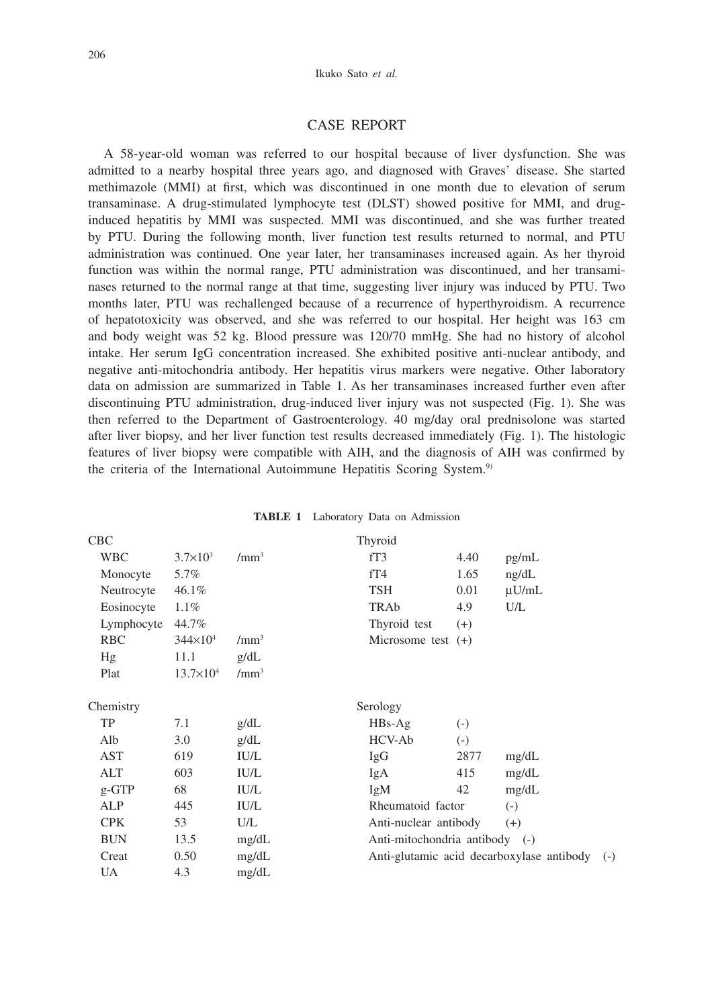### CASE REPORT

A 58-year-old woman was referred to our hospital because of liver dysfunction. She was admitted to a nearby hospital three years ago, and diagnosed with Graves' disease. She started methimazole (MMI) at first, which was discontinued in one month due to elevation of serum transaminase. A drug-stimulated lymphocyte test (DLST) showed positive for MMI, and druginduced hepatitis by MMI was suspected. MMI was discontinued, and she was further treated by PTU. During the following month, liver function test results returned to normal, and PTU administration was continued. One year later, her transaminases increased again. As her thyroid function was within the normal range, PTU administration was discontinued, and her transaminases returned to the normal range at that time, suggesting liver injury was induced by PTU. Two months later, PTU was rechallenged because of a recurrence of hyperthyroidism. A recurrence of hepatotoxicity was observed, and she was referred to our hospital. Her height was 163 cm and body weight was 52 kg. Blood pressure was 120/70 mmHg. She had no history of alcohol intake. Her serum IgG concentration increased. She exhibited positive anti-nuclear antibody, and negative anti-mitochondria antibody. Her hepatitis virus markers were negative. Other laboratory data on admission are summarized in Table 1. As her transaminases increased further even after discontinuing PTU administration, drug-induced liver injury was not suspected (Fig. 1). She was then referred to the Department of Gastroenterology. 40 mg/day oral prednisolone was started after liver biopsy, and her liver function test results decreased immediately (Fig. 1). The histologic features of liver biopsy were compatible with AIH, and the diagnosis of AIH was confirmed by the criteria of the International Autoimmune Hepatitis Scoring System.<sup>9)</sup>

| <b>CBC</b> |                     |                  | Thyroid              |                                                    |            |  |
|------------|---------------------|------------------|----------------------|----------------------------------------------------|------------|--|
| <b>WBC</b> | $3.7 \times 10^3$   | /mm <sup>3</sup> | fT3                  | 4.40                                               | pg/mL      |  |
| Monocyte   | 5.7%                |                  | fT4                  | 1.65                                               | ng/dL      |  |
| Neutrocyte | 46.1%               |                  | TSH                  | 0.01                                               | $\mu$ U/mL |  |
| Eosinocyte | $1.1\%$             |                  | TRAb                 | 4.9                                                | U/L        |  |
| Lymphocyte | 44.7%               |                  | Thyroid test         | $(+)$                                              |            |  |
| <b>RBC</b> | $344 \times 10^{4}$ | $/mm^3$          | Microsome test $(+)$ |                                                    |            |  |
| Hg         | 11.1                | g/dL             |                      |                                                    |            |  |
| Plat       | $13.7\times10^{4}$  | $/mm^3$          |                      |                                                    |            |  |
| Chemistry  |                     |                  | Serology             |                                                    |            |  |
| TP         | 7.1                 | g/dL             | $HBs-Ag$             | $(-)$                                              |            |  |
| Alb        | 3.0                 | g/dL             | HCV-Ab               | $(-)$                                              |            |  |
| AST        | 619                 | <b>IU/L</b>      | IgG                  | 2877                                               | mg/dL      |  |
| ALT        | 603                 | <b>IU/L</b>      | IgA                  | 415                                                | mg/dL      |  |
| $g$ -GTP   | 68                  | <b>IU/L</b>      | IgM                  | 42                                                 | mg/dL      |  |
| ALP        | 445                 | <b>IU/L</b>      |                      | Rheumatoid factor<br>$\left( -\right)$             |            |  |
| <b>CPK</b> | 53                  | U/L              |                      | Anti-nuclear antibody<br>$(+)$                     |            |  |
| <b>BUN</b> | 13.5                | mg/dL            |                      | Anti-mitochondria antibody (-)                     |            |  |
| Creat      | 0.50                | mg/dL            |                      | Anti-glutamic acid decarboxylase antibody<br>$(-)$ |            |  |
| UA         | 4.3                 | mg/dL            |                      |                                                    |            |  |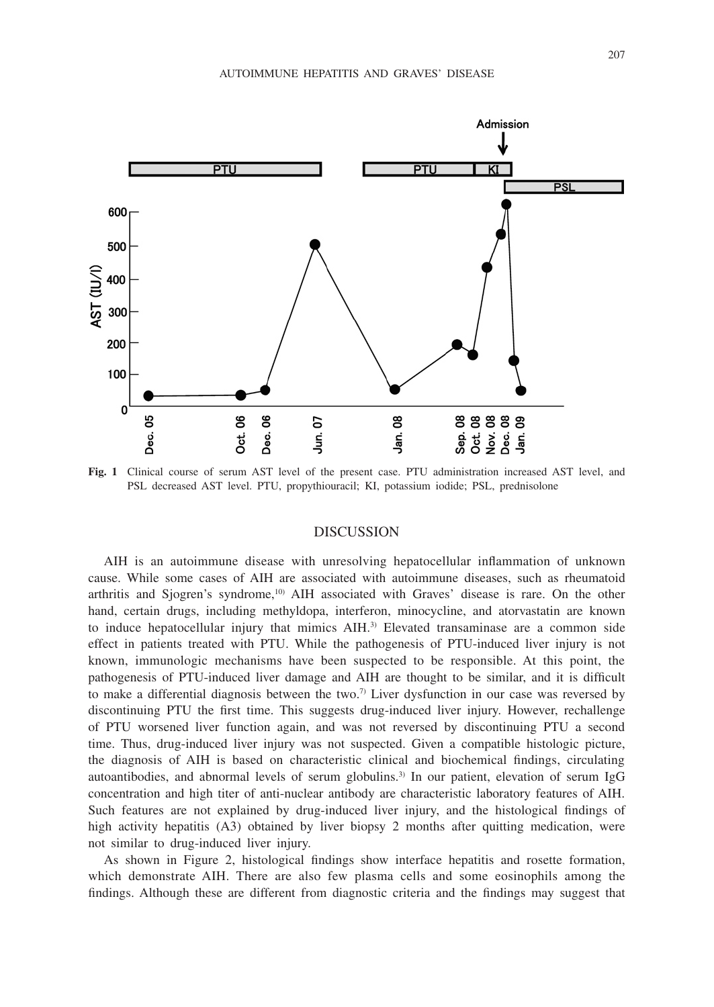

**Fig. 1** Clinical course of serum AST level of the present case. PTU administration increased AST level, and PSL decreased AST level. PTU, propythiouracil; KI, potassium iodide; PSL, prednisolone

### **DISCUSSION**

AIH is an autoimmune disease with unresolving hepatocellular inflammation of unknown cause. While some cases of AIH are associated with autoimmune diseases, such as rheumatoid arthritis and Sjogren's syndrome,<sup>10)</sup> AIH associated with Graves' disease is rare. On the other hand, certain drugs, including methyldopa, interferon, minocycline, and atorvastatin are known to induce hepatocellular injury that mimics AIH.3) Elevated transaminase are a common side effect in patients treated with PTU. While the pathogenesis of PTU-induced liver injury is not known, immunologic mechanisms have been suspected to be responsible. At this point, the pathogenesis of PTU-induced liver damage and AIH are thought to be similar, and it is difficult to make a differential diagnosis between the two.<sup>7)</sup> Liver dysfunction in our case was reversed by discontinuing PTU the first time. This suggests drug-induced liver injury. However, rechallenge of PTU worsened liver function again, and was not reversed by discontinuing PTU a second time. Thus, drug-induced liver injury was not suspected. Given a compatible histologic picture, the diagnosis of AIH is based on characteristic clinical and biochemical findings, circulating autoantibodies, and abnormal levels of serum globulins.<sup>3)</sup> In our patient, elevation of serum IgG concentration and high titer of anti-nuclear antibody are characteristic laboratory features of AIH. Such features are not explained by drug-induced liver injury, and the histological findings of high activity hepatitis (A3) obtained by liver biopsy 2 months after quitting medication, were not similar to drug-induced liver injury.

As shown in Figure 2, histological findings show interface hepatitis and rosette formation, which demonstrate AIH. There are also few plasma cells and some eosinophils among the findings. Although these are different from diagnostic criteria and the findings may suggest that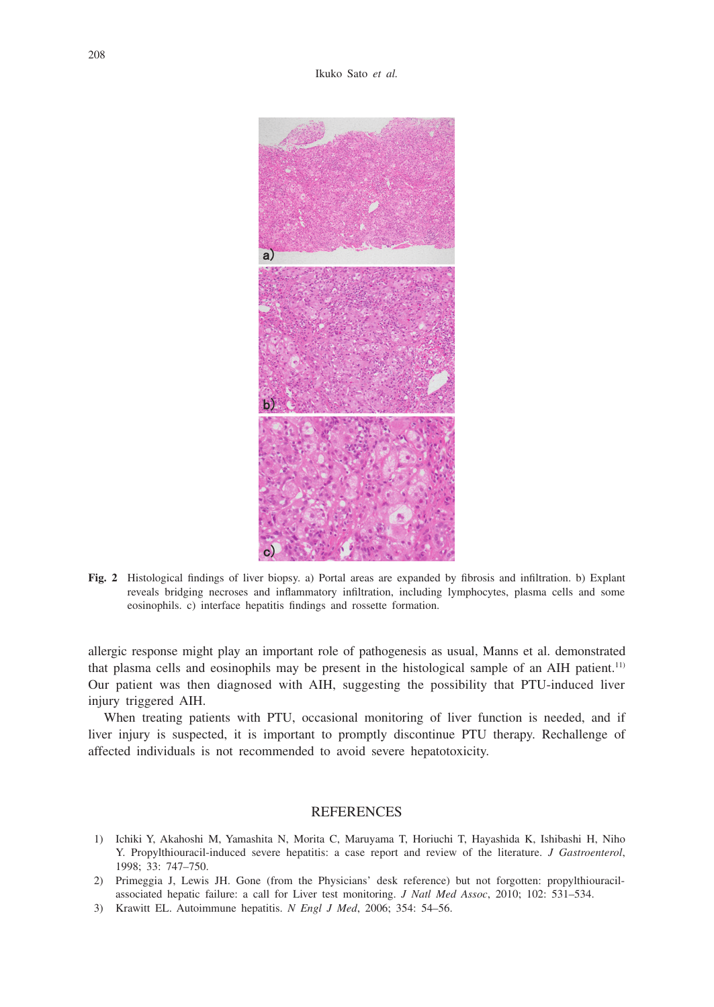

**Fig. 2** Histological findings of liver biopsy. a) Portal areas are expanded by fibrosis and infiltration. b) Explant reveals bridging necroses and inflammatory infiltration, including lymphocytes, plasma cells and some eosinophils. c) interface hepatitis findings and rossette formation.

allergic response might play an important role of pathogenesis as usual, Manns et al. demonstrated that plasma cells and eosinophils may be present in the histological sample of an AIH patient.11) Our patient was then diagnosed with AIH, suggesting the possibility that PTU-induced liver injury triggered AIH.

When treating patients with PTU, occasional monitoring of liver function is needed, and if liver injury is suspected, it is important to promptly discontinue PTU therapy. Rechallenge of affected individuals is not recommended to avoid severe hepatotoxicity.

### **REFERENCES**

- 1) Ichiki Y, Akahoshi M, Yamashita N, Morita C, Maruyama T, Horiuchi T, Hayashida K, Ishibashi H, Niho Y. Propylthiouracil-induced severe hepatitis: a case report and review of the literature. *J Gastroenterol*, 1998; 33: 747–750.
- 2) Primeggia J, Lewis JH. Gone (from the Physicians' desk reference) but not forgotten: propylthiouracilassociated hepatic failure: a call for Liver test monitoring. *J Natl Med Assoc*, 2010; 102: 531–534.
- 3) Krawitt EL. Autoimmune hepatitis. *N Engl J Med*, 2006; 354: 54–56.